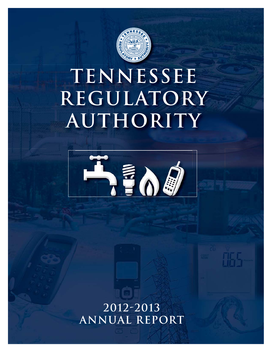

# **TENNESSEE REGULATORY AUTHORITY**



**2012-2013 Annual Report**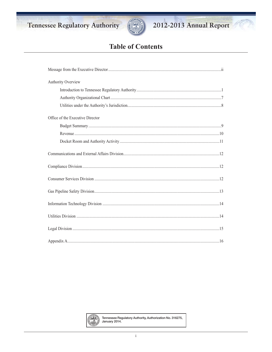



# 2012-2013 Annual Report

# **Table of Contents**

| Authority Overview               |
|----------------------------------|
|                                  |
|                                  |
|                                  |
| Office of the Executive Director |
|                                  |
|                                  |
|                                  |
|                                  |
|                                  |
|                                  |
|                                  |
|                                  |
|                                  |
|                                  |
|                                  |



Tennessee Regulatory Authority, Authorization No. 316275, January 2014.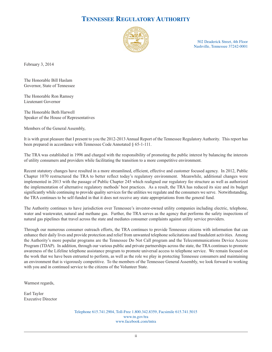# **TENNESSEE REGULATORY AUTHORITY**



502 Deaderick Street, 4th Floor Nashville, Tennessee 37242-0001

February 3, 2014

The Honorable Bill Haslam Governor, State of Tennessee

The Honorable Ron Ramsey Lieutenant Governor

The Honorable Beth Harwell Speaker of the House of Representatives

Members of the General Assembly,

It is with great pleasure that I present to you the 2012-2013 Annual Report of the Tennessee Regulatory Authority. This report has been prepared in accordance with Tennessee Code Annotated § 65-1-111.

The TRA was established in 1996 and charged with the responsibility of promoting the public interest by balancing the interests of utility consumers and providers while facilitating the transition to a more competitive environment.

Recent statutory changes have resulted in a more streamlined, efficient, effective and customer focused agency. In 2012, Public Chapter 1070 restructured the TRA to better reflect today's regulatory environment. Meanwhile, additional changes were implemented in 2013 with the passage of Public Chapter 245 which realigned our regulatory fee structure as well as authorized the implementation of alternative regulatory methods' best practices. As a result, the TRA has reduced its size and its budget significantly while continuing to provide quality services for the utilities we regulate and the consumers we serve. Notwithstanding, the TRA continues to be self-funded in that it does not receive any state appropriations from the general fund.

The Authority continues to have jurisdiction over Tennessee's investor-owned utility companies including electric, telephone, water and wastewater, natural and methane gas. Further, the TRA serves as the agency that performs the safety inspections of natural gas pipelines that travel across the state and mediates consumer complaints against utility service providers.

Through our numerous consumer outreach efforts, the TRA continues to provide Tennessee citizens with information that can enhance their daily lives and provide protection and relief from unwanted telephone solicitations and fraudulent activities. Among the Authority's more popular programs are the Tennessee Do Not Call program and the Telecommunications Device Access Program (TDAP). In addition, through our various public and private partnerships across the state, the TRA continues to promote awareness of the Lifeline telephone assistance program to promote universal access to telephone service. We remain focused on the work that we have been entrusted to perform, as well as the role we play in protecting Tennessee consumers and maintaining an environment that is vigorously competitive. To the members of the Tennessee General Assembly, we look forward to working with you and in continued service to the citizens of the Volunteer State.

Warmest regards,

Earl Taylor Executive Director

> Telephone 615.741.2904, Toll-Free 1.800.342.8359, Facsimile 615.741.5015 www.tn.gov/tra www.facebook.com/tntra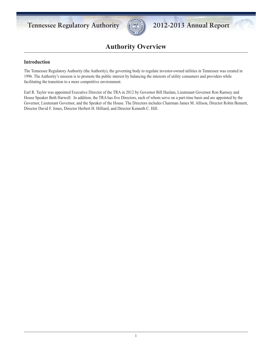

# **Authority Overview**

# **Introduction**

The Tennessee Regulatory Authority (the Authority), the governing body to regulate investor-owned utilities in Tennessee was created in 1996. The Authority's mission is to promote the public interest by balancing the interests of utility consumers and providers while facilitating the transition to a more competitive environment.

Earl R. Taylor was appointed Executive Director of the TRA in 2012 by Governor Bill Haslam, Lieutenant Governor Ron Ramsey and House Speaker Beth Harwell. In addition, the TRA has five Directors, each of whom serve on a part-time basis and are appointed by the Governor, Lieutenant Governor, and the Speaker of the House. The Directors includes Chairman James M. Allison, Director Robin Bennett, Director David F. Jones, Director Herbert H. Hilliard, and Director Kenneth C. Hill.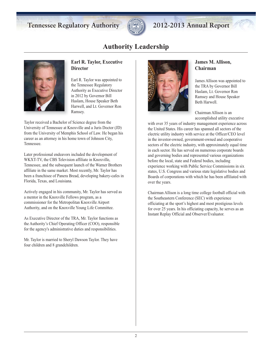

# **Authority Leadership**



# **Earl R. Taylor, Executive Director**

Earl R. Taylor was appointed to the Tennessee Regulatory Authority as Executive Director in 2012 by Governor Bill Haslam, House Speaker Beth Harwell, and Lt. Governor Ron Ramsey.

Taylor received a Bachelor of Science degree from the University of Tennessee at Knoxville and a Juris Doctor (JD) from the University of Memphis School of Law. He began his career as an attorney in his home town of Johnson City, Tennessee.

Later professional endeavors included the development of WKXT-TV, the CBS Television affiliate in Knoxville, Tennessee, and the subsequent launch of the Warner Brothers affiliate in the same market. Most recently, Mr. Taylor has been a franchisee of Panera Bread, developing bakery-cafes in Florida, Texas, and Louisiana.

Actively engaged in his community, Mr. Taylor has served as a mentor in the Knoxville Fellows program, as a commissioner for the Metropolitan Knoxville Airport Authority, and on the Knoxville Young Life Committee.

As Executive Director of the TRA, Mr. Taylor functions as the Authority's Chief Operating Officer (COO), responsible for the agency's administrative duties and responsibilities.

Mr. Taylor is married to Sheryl Dawson Taylor. They have four children and 8 grandchildren.



# **James M. Allison, Chairman**

James Allison was appointed to the TRA by Governor Bill Haslam, Lt. Governor Ron Ramsey and House Speaker Beth Harwell.

Chairman Allison is an accomplished utility executive

with over 35 years of industry management experience across the United States. His career has spanned all sectors of the electric utility industry with service at the Officer/CEO level in the investor-owned, government-owned and cooperative sectors of the electric industry, with approximately equal time in each sector. He has served on numerous corporate boards and governing bodies and represented various organizations before the local, state and Federal bodies, including experience working with Public Service Commissions in six states, U.S. Congress and various state legislative bodies and Boards of corporations with which he has been affiliated with over the years.

Chairman Allison is a long time college football official with the Southeastern Conference (SEC) with experience officiating at the sport's highest and most prestigious levels for over 25 years. In his officiating capacity, he serves as an Instant Replay Official and Observer/Evaluator.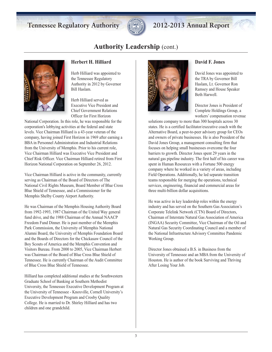

# **Authority Leadership** (cont.)



### **Herbert H. Hilliard**

Herb Hilliard was appointed to the Tennessee Regulatory Authority in 2012 by Governor Bill Haslam.

Herb Hilliard served as Executive Vice President and Chief Government Relations Officer for First Horizon

National Corporation. In this role, he was responsible for the corporation's lobbying activities at the federal and state levels. Vice Chairman Hilliard is a 43-year veteran of the company, having joined First Horizon in 1969 after earning a BBA in Personnel Administration and Industrial Relations from the University of Memphis. Prior to his current role, Vice Chairman Hilliard was Executive Vice President and Chief Risk Officer. Vice Chairman Hilliard retired from First Horizon National Corporation on September 26, 2012.

Vice Chairman Hilliard is active in the community, currently serving as Chairman of the Board of Directors of The National Civil Rights Museum, Board Member of Blue Cross Blue Shield of Tennessee, and a Commissioner for the Memphis Shelby County Airport Authority.

He was Chairman of the Memphis Housing Authority Board from 1992-1993, 1987 Chairman of the United Way general fund drive, and the 1988 Chairman of the Annual NAACP Freedom Fund Dinner. He is past member of the Memphis Park Commission, the University of Memphis National Alumni Board, the University of Memphis Foundation Board and the Boards of Directors for the Chickasaw Council of the Boy Scouts of America and the Memphis Convention and Visitors Bureau. From 2000 to 2005, Vice Chairman Herbert was Chairman of the Board of Blue Cross Blue Shield of Tennessee. He is currently Chairman of the Audit Committee of Blue Cross Blue Shield of Tennessee.

Hilliard has completed additional studies at the Southwestern Graduate School of Banking at Southern Methodist University, the Tennessee Executive Development Program at the University of Tennessee - Knoxville, Cornell University's Executive Development Program and Crosby Quality College. He is married to Dr. Shirley Hilliard and has two children and one grandchild.



#### **David F. Jones**

David Jones was appointed to the TRA by Governor Bill Haslam, Lt. Governor Ron Ramsey and House Speaker Beth Harwell.

Director Jones is President of Complete Holdings Group, a workers' compensation revenue

solutions company to more than 300 hospitals across 30 states. He is a certified facilitator/executive coach with the Alternative Board, a peer-to-peer advisory group for CEOs and owners of private businesses. He is also President of the David Jones Group, a management consulting firm that focuses on helping small businesses overcome the four barriers to growth. Director Jones spent 29 years in the natural gas pipeline industry. The first half of his career was spent in Human Resources with a Fortune 500 energy company where he worked in a variety of areas, including Field Operations. Additionally, he led separate transition teams responsible for merging the operations, technical services, engineering, financial and commercial areas for three multi-billion dollar acquisitions.

He was active in key leadership roles within the energy industry and has served on the Southern Gas Association's Corporate Telelink Network (CTN) Board of Directors, Chairman of Interstate Natural Gas Association of America (INGAA) Security Committee, Vice Chairman of the Oil and Natural Gas Security Coordinating Council and a member of the National Infrastructure Advisory Committee Pandemic Working Group.

Director Jones obtained a B.S. in Business from the University of Tennessee and an MBA from the University of Houston. He is author of the book Surviving and Thriving After Losing Your Job.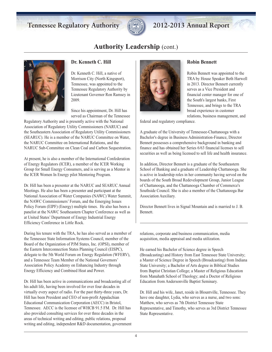

# **Authority Leadership** (cont.)



### **Dr. Kenneth C. Hill**

Dr. Kenneth C. Hill, a native of Morrison City (North Kingsport), Tennessee, was appointed to the Tennessee Regulatory Authority by Lieutenant Governor Ron Ramsey in 2009.

Since his appointment, Dr. Hill has served as Chairman of the Tennessee

Regulatory Authority and is presently active with the National Association of Regulatory Utility Commissioners (NARUC) and the Southeastern Association of Regulatory Utility Commissioners (SEARUC). He is a member of the NARUC Committee on Water, the NARUC Committee on International Relations, and the NARUC Sub-Committee on Clean Coal and Carbon Sequestration.

At present, he is also a member of the International Confederation of Energy Regulators (ICER), a member of the ICER Working Group for Small Energy Consumers, and is serving as a Mentor in the ICER Women In Energy pilot Mentoring Program.

Dr. Hill has been a presenter at the NARUC and SEARUC Annual Meetings. He also has been a presenter and participant at the National Association of Water Companies (NAWC) Water Summit, the NAWC Commissioners' Forum, and the Emerging Issues Policy Forum (EIPF) (Energy) multiple times. He also has been a panelist at the NAWC Southeastern Chapter Conference as well as at United States' Department of Energy Industrial Energy Efficiency Conference in Little Rock.

During his tenure with the TRA, he has also served as a member of the Tennessee State Information Systems Council, member of the Board of the Organization of PJM States, Inc. (OPSI), member of the Eastern Interconnection States Planning Council (EISPC), delegate to the 5th World Forum on Energy Regulation (WFERV), and a Tennessee Team Member of the National Governors' Association Policy Academy on Enhancing Industry through Energy Efficiency and Combined Heat and Power.

Dr. Hill has been active in communications and broadcasting all of his adult life, having been involved for over four decades in virtually every aspect of radio. For the past thirty-three years, Dr. Hill has been President and CEO of non-profit Appalachian Educational Communication Corporation (AECC) in Bristol, Tennessee. AECC is the licensee of WHCB 91.5 FM. Dr. Hill has also provided consulting services for over three decades in the areas of technical writing and editing, public relations, proposal writing and editing, independent R&D documentation, government



# **Robin Bennett**

Robin Bennett was appointed to the TRA by House Speaker Beth Harwell in 2013. Director Bennett currently serves as a Vice President and financial center manager for one of the South's largest banks, First Tennessee, and brings to the TRA broad experience in customer relations, business management, and

federal and regulatory compliance.

A graduate of the University of Tennessee-Chattanooga with a Bachelor's degree in Business Administration-Finance, Director Bennett possesses a comprehensive background in banking and finance and has obtained her Series 6/63 financial licenses to sell securities as well as being licensed to sell life and health insurance.

In addition, Director Bennett is a graduate of the Southeastern School of Banking and a graduate of Leadership Chattanooga. She is active in leadership roles in her community having served on the boards of the South Broad Redevelopment Group, Junior League of Chattanooga, and the Chattanooga Chamber of Commerce's Southside Council. She is also a member of the Chattanooga Bar Association Auxiliary.

Director Bennett lives in Signal Mountain and is married to J. B. Bennett.

relations, corporate and business communication, media acquisition, media appraisal and media utilization.

He earned his Bachelor of Science degree in Speech (Broadcasting) and History from East Tennessee State University; a Master of Science Degree in Speech (Broadcasting) from Indiana State University; a Bachelor of Arts degree in Biblical Studies from Baptist Christian College; a Master of Religious Education from Manahath School of Theology; and a Doctor of Religious Education from Andersonville Baptist Seminary.

Dr. Hill and his wife, Janet, reside in Blountville, Tennessee. They have one daughter, Lydia, who serves as a nurse, and two sons: Matthew, who serves as 7th District Tennessee State Representative, and Timothy, who serves as 3rd District Tennessee State Representative.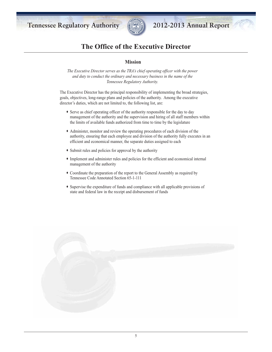

# **The Office of the Executive Director**

### **Mission**

*The Executive Director serves as the TRA's chief operating officer with the power and duty to conduct the ordinary and necessary business in the name of the Tennessee Regulatory Authority.* 

The Executive Director has the principal responsibility of implementing the broad strategies, goals, objectives, long-range plans and policies of the authority. Among the executive director's duties, which are not limited to, the following list, are:

- ∑ Serve as chief operating officer of the authority responsible for the day to day management of the authority and the supervision and hiring of all staff members within the limits of available funds authorized from time to time by the legislature
- ∑ Administer, monitor and review the operating procedures of each division of the authority, ensuring that each employee and division of the authority fully executes in an efficient and economical manner, the separate duties assigned to each
- ∑ Submit rules and policies for approval by the authority
- ∑ Implement and administer rules and policies for the efficient and economical internal management of the authority
- ∑ Coordinate the preparation of the report to the General Assembly as required by Tennessee Code Annotated Section 65-1-111
- ∑ Supervise the expenditure of funds and compliance with all applicable provisions of state and federal law in the receipt and disbursement of funds

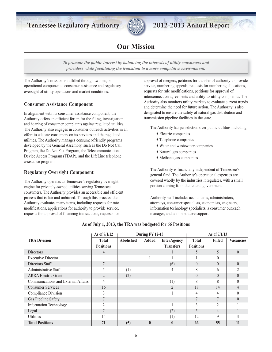

# **Our Mission**

*To promote the public interest by balancing the interests of utility consumers and providers while facilitating the transition to a more competitive environment.*

The Authority's mission is fulfilled through two major operational components: consumer assistance and regulatory oversight of utility operations and market conditions.

## **Consumer Assistance Component**

In alignment with its consumer assistance component, the Authority offers an efficient forum for the filing, investigation, and hearing of consumer complaints against regulated utilities. The Authority also engages in consumer outreach activities in an effort to educate consumers on its services and the regulated utilities. The Authority manages consumer-friendly programs developed by the General Assembly, such as the Do Not Call Program, the Do Not Fax Program, the Telecommunications Device Access Program (TDAP), and the LifeLine telephone assistance program.

#### **Regulatory Oversight Component**

The Authority operates as Tennessee's regulatory oversight engine for privately-owned utilities serving Tennessee consumers. The Authority provides an accessible and efficient process that is fair and unbiased. Through this process, the Authority evaluates many items, including requests for rate modifications, applications for authority to provide service, requests for approval of financing transactions, requests for

approval of mergers, petitions for transfer of authority to provide service, numbering appeals, requests for numbering allocations, requests for rule modifications, petitions for approval of interconnection agreements and utility-to-utility complaints. The Authority also monitors utility markets to evaluate current trends and determine the need for future action. The Authority is also designated to ensure the safety of natural gas distribution and transmission pipeline facilities in the state.

The Authority has jurisdiction over public utilities including:

- ∑ Electric companies
- ∑ Telephone companies
- ∑ Water and wastewater companies
- ∑ Natural gas companies
- ∑ Methane gas companies

The Authority is financially independent of Tennessee's general fund. The Authority's operational expenses are covered wholly by the industries it regulates, with a small portion coming from the federal government.

Authority staff includes accountants, administrators, attorneys, consumer specialists, economists, engineers, information technology specialists, a consumer outreach manager, and administrative support.

|                                     | As of 7/1/12     | During FY 12-13  |              | As of 7/1/13       |                  |                |                  |
|-------------------------------------|------------------|------------------|--------------|--------------------|------------------|----------------|------------------|
| <b>TRA Division</b>                 | <b>Total</b>     | <b>Abolished</b> | <b>Added</b> | <b>InterAgency</b> | <b>Total</b>     | <b>Filled</b>  | <b>Vacancies</b> |
|                                     | <b>Positions</b> |                  |              | <b>Transfers</b>   | <b>Positions</b> |                |                  |
| <b>Directors</b>                    | 4                |                  |              |                    | 5                | 5              | $\overline{0}$   |
| <b>Executive Director</b>           |                  |                  |              |                    |                  | $\theta$       |                  |
| Directors Staff                     | 7                |                  |              | (6)                | $\Omega$         | $\theta$       | $\theta$         |
| Administrative Staff                | 5                | (1)              |              | 4                  | 8                | 6              |                  |
| <b>ARRA Electric Grant</b>          | $\overline{2}$   | (2)              |              |                    | $\theta$         | $\theta$       | $\theta$         |
| Communications and External Affairs | $\overline{4}$   |                  |              | (1)                | 8                | 8              | 0                |
| <b>Consumer Services</b>            | 16               |                  |              | $\mathfrak{D}$     | 18               | 14             | 4                |
| <b>Compliance Division</b>          | 3                |                  |              |                    | 4                | 4              | 0                |
| Gas Pipeline Safety                 | 7                |                  |              |                    |                  | $\tau$         | $\theta$         |
| <b>Information Technology</b>       | $\overline{2}$   |                  |              |                    | 3                | $\overline{2}$ |                  |
| Legal                               |                  |                  |              | (2)                | 5                | 4              |                  |
| Utilities                           | 14               |                  |              | (1)                | 12               | 9              |                  |
| <b>Total Positions</b>              | 71               | (5)              | $\mathbf{0}$ | $\bf{0}$           | 66               | 55             | 11               |

#### **As of July 1, 2013, the TRA was budgeted for 66 Positions**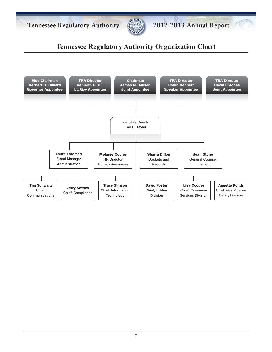



# **Tennessee Regulatory Authority Organization Chart**

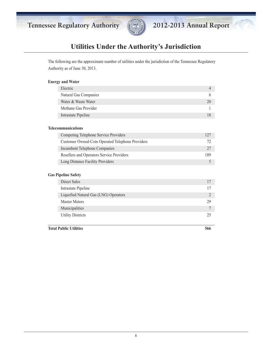



# **Utilities Under the Authority's Jurisdiction**

The following are the approximate number of utilities under the jurisdiction of the Tennessee Regulatory Authority as of June 30, 2013.

#### **Energy and Water**

| Electric              |   |
|-----------------------|---|
| Natural Gas Companies | 6 |
| Water & Waste Water   |   |
| Methane Gas Provider  |   |
| Intrastate Pipeline   |   |

#### **Telecommunications**

| Competing Telephone Service Providers            | 127 |
|--------------------------------------------------|-----|
| Customer Owned-Coin Operated Telephone Providers |     |
| Incumbent Telephone Companies                    |     |
| Resellers and Operators Service Providers        | 189 |
| Long Distance Facility Providers                 |     |

#### **Gas Pipeline Safety**

| Direct Sales                          |    |
|---------------------------------------|----|
| Intrastate Pipeline                   |    |
| Liquefied Natural Gas (LNG) Operators |    |
| <b>Master Meters</b>                  | 29 |
| Municipalities                        |    |
| <b>Utility Districts</b>              | 25 |

**Total Public Utilities 566**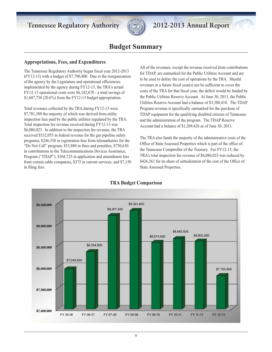

# **Budget Summary**

### **Appropriations, Fees, and Expenditures**

The Tennessee Regulatory Authority began fiscal year 2012-2013 (FY12-13) with a budget of \$7,790,400. Due to the reorganization of the agency by the Legislature and operational efficiencies implemented by the agency during FY12-13, the TRA's actual FY12-13 operational costs were \$6,182,670 - a total savings of \$1,607,730 (20.6%) from the FY12-13 budget appropriation.

Total revenues collected by the TRA during FY12-13 were \$7,781,388 the majority of which was derived from utility inspection fees paid by the public utilities regulated by the TRA. Total inspection fee revenue received during FY12-13 was \$6,086,023. In addition to the inspection fee revenue, the TRA received \$532,055 in federal revenue for the gas pipeline safety programs, \$246,550 in registration fees from telemarketers for the "Do Not Call" program, \$53,880 in fines and penalties, \$750,630 in contributions to the Telecommunications Devices Assistance, Program ("TDAP"), \$104,725 in application and amendment fees from certain cable companies, \$375 in current services, and \$7,150 in filing fees.

All of the revenues, except the revenue received from contributions for TDAP, are earmarked for the Public Utilities Account and are to be used to defray the cost of operations by the TRA. Should revenues in a future fiscal year(s) not be sufficient to cover the costs of the TRA for that fiscal year, the deficit would be funded by the Public Utilities Reserve Account. At June 30, 2013, the Public Utilities Reserve Account had a balance of \$3,388,418. The TDAP Program revenue is specifically earmarked for the purchase of TDAP equipment for the qualifying disabled citizens of Tennessee and the administration of the program. The TDAP Reserve Account had a balance of \$1,209,426 as of June 30, 2013.

The TRA also funds the majority of the administrative costs of the Office of State Assessed Properties which is part of the office of the Tennessee Comptroller of the Treasury. For FY12-13, the TRA's total inspection fee revenue of \$6,086,023 was reduced by \$426,361 for its share of subsidization of the cost of the Office of State Assessed Properties.



# **TRA Budget Comparison**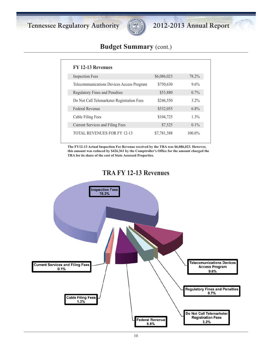

# **Budget Summary** (cont.)

| FY 12-13 Revenues                          |             |           |
|--------------------------------------------|-------------|-----------|
| <b>Inspection Fees</b>                     | \$6,086,023 | 78.2%     |
| Telecommunications Devices Access Program  | \$750,630   | $9.6\%$   |
| <b>Regulatory Fines and Penalties</b>      | \$53,880    | $0.7\%$   |
| Do Not Call Telemarketer Registration Fees | \$246,550   | $3.2\%$   |
| Federal Revenue                            | \$532,055   | $6.8\%$   |
| Cable Filing Fees                          | \$104,725   | $1.3\%$   |
| <b>Current Services and Filing Fees</b>    | \$7,525     | $0.1\%$   |
| <b>TOTAL REVENUES FOR FY 12-13</b>         | \$7,781,388 | $100.0\%$ |

**The FY12-13 Actual Inspection Fee Revenue received by the TRA was \$6,086,023. However, this amount was reduced by \$426,361 by the Comptroller's Office for the amount charged the TRA for its share of the cost of State Assessed Properties.**



# **TRA FY 12-13 Revenues**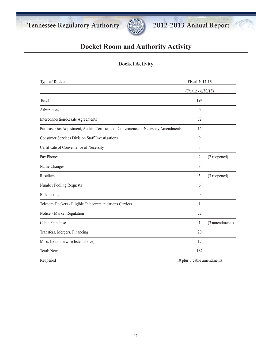

# **Docket Room and Authority Activity**

# **Docket Activity**

| <b>Type of Docket</b>                                                               | <b>Fiscal 2012-13</b> |                      |  |
|-------------------------------------------------------------------------------------|-----------------------|----------------------|--|
|                                                                                     |                       | $(7/1/12 - 6/30/13)$ |  |
| <b>Total</b>                                                                        | 195                   |                      |  |
| Arbitrations                                                                        | $\theta$              |                      |  |
| Interconnection/Resale Agreements                                                   | 72                    |                      |  |
| Purchase Gas Adjustment, Audits, Certificate of Convenience of Necessity Amendments | 16                    |                      |  |
| <b>Consumer Services Division Staff Investigations</b>                              | 9                     |                      |  |
| Certificate of Convenience of Necessity                                             | 3                     |                      |  |
| Pay Phones                                                                          | 2                     | (7 reopened)         |  |
| Name Changes                                                                        | 8                     |                      |  |
| Resellers                                                                           | 5                     | (3 reopened)         |  |
| Number Pooling Requests                                                             | 6                     |                      |  |
| Rulemaking                                                                          | $\theta$              |                      |  |
| Telecom Dockets - Eligible Telecommunications Carriers                              | 1                     |                      |  |
| Notice - Market Regulation                                                          | 22                    |                      |  |
| Cable Franchise                                                                     | 1                     | (3 amendments)       |  |
| Transfers, Mergers, Financing                                                       | 20                    |                      |  |
| Misc. (not otherwise listed above)                                                  | 17                    |                      |  |
| <b>Total: New</b>                                                                   | 182                   |                      |  |
|                                                                                     |                       |                      |  |

Reopened 10 plus 3 cable amendments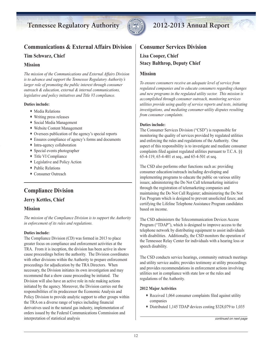

# **Communications & External Affairs Division**

## **Tim Schwarz, Chief**

### **Mission**

*The mission of the Communications and External Affairs Division is to advance and support the Tennessee Regulatory Authority's larger role of promoting the public interest through consumer outreach & education, external & internal communications, legislative and policy initiatives and Title VI compliance.*

#### **Duties include:**

- ◆ Media Relations
- ∑ Writing press releases
- ∑ Social Media Management
- ∑ Website Content Management
- ∑ Oversees publication of the agency's special reports
- ∑ Ensures compliance of agency's forms and documents
- ∑ Intra-agency collaboration
- ∑ Special events photographer
- ∑ Title VI Compliance
- ∑ Legislative and Policy Action
- ∑ Public Relations
- ∑ Consumer Outreach

# **Compliance Division**

## **Jerry Kettles, Chief**

#### **Mission**

*The mission of the Compliance Division is to support the Authority in enforcement of its rules and regulations.* 

#### **Duties include:**

The Compliance Division (CD) was formed in 2013 to place greater focus on compliance and enforcement activities at the TRA. From it is inception, the division has been active in show cause proceedings before the authority. The Division coordinates with other divisions within the Authority to prepare enforcement proceedings for adjudication by the TRA Directors. When necessary, the Division initiates its own investigation and may recommend that a show cause proceeding be initiated. The Division will also have an active role in rule making actions initiated by the agency. Moreover, the Division carries out the responsibilities of its predecessor the Economic Analysis and Policy Division to provide analytic support to other groups within the TRA on a diverse range of topics including financial derivatives used in the natural gas industry, implementation of orders issued by the Federal Communications Commission and interpretation of statistical analysis

# **Consumer Services Division**

**Lisa Cooper, Chief Stacy Balthrop, Deputy Chief**

### **Mission**

*To ensure consumers receive an adequate level of service from regulated companies and to educate consumers regarding changes and new programs in the regulated utility sector. This mission is accomplished through consumer outreach, monitoring services utilities provide using quality of service reports and tests, initiating investigations, and mediating consumer-utility disputes resulting from consumer complaints.*

#### **Duties include:**

The Consumer Services Division ("CSD") is responsible for monitoring the quality of services provided by regulated utilities and enforcing the rules and regulations of the Authority. One aspect of this responsibility is to investigate and mediate consumer complaints filed against regulated utilities pursuant to T.C.A. §§ 65-4-119, 65-4-401 et seq., and 65-4-501 et seq.

The CSD also performs other functions such as: providing consumer education/outreach including developing and implementing programs to educate the public on various utility issues; administering the Do Not Call telemarketing initiative through the registration of telemarketing companies and maintaining the Do Not Call Register; administering the Do Not Fax Program which is designed to prevent unsolicited faxes; and certifying the Lifeline Telephone Assistance Program candidates based on income.

The CSD administers the Telecommunication Devices Access Program ("TDAP"), which is designed to improve access to the telephone network by distributing equipment to assist individuals with disabilities. Additionally, the CSD monitors the operation of the Tennessee Relay Center for individuals with a hearing loss or speech disability.

The CSD conducts service hearings, community outreach meetings and utility service audits; provides testimony at utility proceedings and provides recommendations in enforcement actions involving utilities not in compliance with state law or the rules and regulations of the Authority.

#### **2012 Major Activities**

- ∑ Received 1,064 consumer complaints filed against utility companies
- ∑ Distributed 1,145 TDAP devices costing \$328,079 to 1,035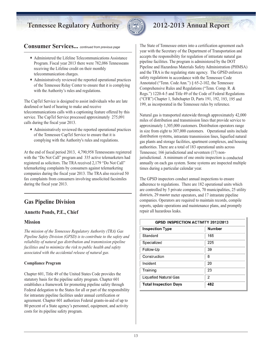

### **Consumer Services...** continued from previous page

- ∑ Administered the Lifeline Telecommunications Assistance Program. Fiscal year 2013 there were 782,086 Tennesseans receiving the Lifeline credit on their monthly telecommunication charges.
- ∑ Administratively reviewed the reported operational practices of the Tennessee Relay Center to ensure that it is complying with the Authority's rules and regulations.

The CapTel Service is designed to assist individuals who are late deafened or hard of hearing to make and receive telecommunications calls with a captioning feature offered by this service. The CapTel Service processed approximately 275,091 calls during the fiscal year 2013.

∑ Administratively reviewed the reported operational practices of the Tennessee CapTel Service to ensure that it is complying with the Authority's rules and regulations.

At the end of fiscal period 2013, 4,790,958 Tennesseans registered with the "Do Not Call" program and 335 active telemarketers had registered as solicitors. The TRA received 2,179 "Do Not Call" telemarketing complaints by consumers against telemarketing companies during the fiscal year 2013. The TRA also received 50 fax complaints from consumers involving unsolicited facsimiles during the fiscal year 2013.

# **Gas Pipeline Division**

## **Annette Ponds, P.E., Chief**

## **Mission**

*The mission of the Tennessee Regulatory Authority (TRA) Gas Pipeline Safety Division (GPSD) is to contribute to the safety and reliability of natural gas distribution and transmission pipeline facilities and to minimize the risk to public health and safety associated with the accidental release of natural gas.* 

#### **Compliance Program**

Chapter 601, Title 49 of the United States Code provides the statutory basis for the pipeline safety program. Chapter 601 establishes a framework for promoting pipeline safety through Federal delegation to the States for all or part of the responsibility for intrastate pipeline facilities under annual certification or agreement. Chapter 601 authorizes Federal grants-in-aid of up to 80 percent of a State agency's personnel, equipment, and activity costs for its pipeline safety program.

The State of Tennessee enters into a certification agreement each year with the Secretary of the Department of Transportation and accepts the responsibility for regulation of intrastate natural gas pipeline facilities. The program is administered by the DOT Pipeline and Hazardous Materials Safety Administration (PHMSA) and the TRA is the regulating state agency. The GPSD enforces safety regulations in accordance with the Tennessee Code Annotated ("Tenn. Code Ann.") § 65-2-102, the Tennessee Comprehensive Rules and Regulations ("Tenn. Comp. R. & Regs.") 1220-4-5 and Title 49 of the Code of Federal Regulations ("CFR") Chapter 1, Subchapter D, Parts 191, 192, 193, 195 and 199, as incorporated in the Tennessee rules by reference.

Natural gas is transported statewide through approximately 42,000 miles of distribution and transmission lines that provide service to approximately 1,305,000 customers. Distribution operators range in size from eight to 307,000 customers. Operational units include distribution systems, intrastate transmission lines, liquefied natural gas plants and storage facilities, apartment complexes, and housing authorities. There are a total of 183 operational units across Tennessee; 166 jurisdictional and seventeen (17) nonjurisdictional. A minimum of one onsite inspection is conducted annually on each gas system. Some systems are inspected multiple times during a particular calendar year.

The GPSD inspectors conduct annual inspections to ensure adherence to regulations. There are 182 operational units which are controlled by 5 private companies, 70 municipalities, 25 utility districts, 29 master meter operators, and 17 intrastate pipeline companies. Operators are required to maintain records, compile reports, update operations and maintenance plans, and promptly repair all hazardous leaks.

| <b>Inspection Type</b>       | <b>Number</b> |
|------------------------------|---------------|
| Standard                     | 165           |
| Specialized                  | 225           |
| Follow-Up                    | 39            |
| Construction                 | 8             |
| Incident                     | 20            |
| Training                     | 23            |
| <b>Liquefied Natural Gas</b> | 2             |
| <b>Total Inspection Days</b> | 482           |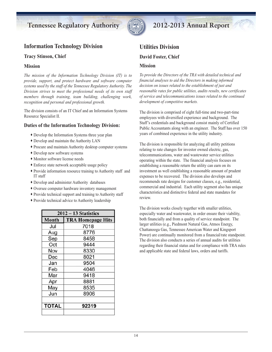

# **Information Technology Division**

#### **Tracy Stinson, Chief**

### **Mission**

*The mission of the Information Technology Division (IT) is to provide, support, and protect hardware and software computer systems used by the staff of the Tennessee Regulatory Authority. The Division strives to meet the professional needs of its own staff members through training, team building, challenging work, recognition and personal and professional growth.*

The division consists of an IT Chief and an Information Systems Resource Specialist II.

### **Duties of the Information Technology Division:**

- ∑ Develop the Information Systems three year plan
- ∑ Develop and maintain the Authority LAN
- ∑ Procure and maintain Authority desktop computer systems
- ∑ Develop new software systems
- ∑ Monitor software license needs
- ∑ Enforce state network acceptable usage policy
- ∑ Provide information resource training to Authority staff and IT staff
- ∑ Develop and administer Authority databases
- ∑ Oversee computer hardware inventory management
- ∑ Provide technical support and training to Authority staff
- ∑ Provide technical advice to Authority leadership

| $2012 - 13$ Statistics |                          |  |  |
|------------------------|--------------------------|--|--|
| <b>Month</b>           | <b>TRA Homepage Hits</b> |  |  |
| Jul                    | 7018                     |  |  |
| Aug                    | 8776                     |  |  |
| Sep                    | 8458                     |  |  |
| Oct                    | 9444                     |  |  |
| Nov                    | 8330                     |  |  |
| Dec                    | 8021                     |  |  |
| Jan                    | 9504                     |  |  |
| Feb                    | 4046                     |  |  |
| Mar                    | 9418                     |  |  |
| Apr                    | 8881                     |  |  |
| May                    | 8535                     |  |  |
| Jun                    | 8906                     |  |  |
|                        |                          |  |  |
| <b>TOTAL</b>           | 92319                    |  |  |
|                        |                          |  |  |

# **Utilities Division**

### **David Foster, Chief**

#### **Mission**

*To provide the Directors of the TRA with detailed technical and financial analyses to aid the Directors in making informed decision on issues related to the establishment of just and reasonable rates for public utilities, audits results, new certificates of service and telecommunications issues related to the continued development of competitive markets.*

The division is comprised of eight full-time and two-part-time employees with diversified experience and background. The Staff's credentials and background consist mainly of Certified Public Accountants along with an engineer. The Staff has over 150 years of combined experience in the utility industry.

The division is responsible for analyzing all utility petitions relating to rate changes for investor owned electric, gas, telecommunications, water and wastewater service utilities operating within the state. The financial analysis focuses on establishing a reasonable return the utility can earn on its investment as well establishing a reasonable amount of prudent expenses to be recovered. The division also develops and recommends rate designs for customer classes, e.g., residential, commercial and industrial. Each utility segment also has unique characteristics and distinctive federal and state mandates for review.

The division works closely together with smaller utilities, especially water and wastewater, in order ensure their viability, both financially and from a quality of service standpoint. The larger utilities (e.g., Piedmont Natural Gas, Atmos Energy, Chattanooga Gas, Tennessee American Water and Kingsport Power) are continually monitored from a financial/rate standpoint. The division also conducts a series of annual audits for utilities regarding their financial status and for compliance with TRA rules and applicable state and federal laws, orders and tariffs.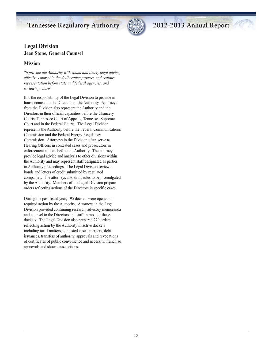

# **Legal Division Jean Stone, General Counsel**

## **Mission**

*To provide the Authority with sound and timely legal advice, effective counsel in the deliberative process, and zealous representation before state and federal agencies, and reviewing courts.*

It is the responsibility of the Legal Division to provide inhouse counsel to the Directors of the Authority. Attorneys from the Division also represent the Authority and the Directors in their official capacities before the Chancery Courts, Tennessee Court of Appeals, Tennessee Supreme Court and in the Federal Courts. The Legal Division represents the Authority before the Federal Communications Commission and the Federal Energy Regulatory Commission. Attorneys in the Division often serve as Hearing Officers in contested cases and prosecutors in enforcement actions before the Authority. The attorneys provide legal advice and analysis to other divisions within the Authority and may represent staff designated as parties in Authority proceedings. The Legal Division reviews bonds and letters of credit submitted by regulated companies. The attorneys also draft rules to be promulgated by the Authority. Members of the Legal Division prepare orders reflecting actions of the Directors in specific cases.

During the past fiscal year, 195 dockets were opened or required action by the Authority. Attorneys in the Legal Division provided continuing research, advisory memoranda and counsel to the Directors and staff in most of these dockets. The Legal Division also prepared 229 orders reflecting action by the Authority in active dockets including tariff matters, contested cases, mergers, debt issuances, transfers of authority, approvals and revocations of certificates of public convenience and necessity, franchise approvals and show cause actions.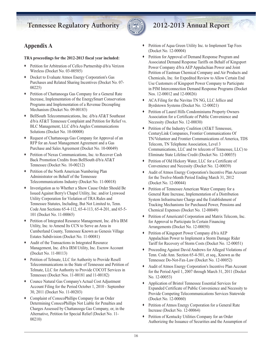

# **Appendix A**

#### **TRA proceedings for the 2012-2013 fiscal year included:**

- ∑ Petition for Arbitration of Cellco Partnership d/b/a Verizon Wireless (Docket No. 03-00585)
- ∑ Docket to Evaluate Atmos Energy Corporation's Gas Purchases and Related Sharing Incentives (Docket No. 07- 00225)
- ∑ Petition of Chattanooga Gas Company for a General Rate Increase, Implementation of the EnergySmart Conservation Programs and Implementation of a Revenue Decoupling Mechanism (Docket No. 09-00183)
- ∑ BellSouth Telecommunications, Inc. d/b/a AT&T Southeast d/b/a AT&T Tennessee Complaint and Petition for Relief vs. BLC Management, LLC d/b/a Angles Communications Solutions (Docket No. 10-00008)
- ∑ Request of Chattanooga Gas Company for Approval of an RFP for an Asset Management Agreement and a Gas Purchase and Sales Agreement (Docket No. 10-00049)
- ∑ Petition of Nexus Communications, Inc. to Recover Cash Back Promotion Credits from BellSouth d/b/a AT&T Tennessee (Docket No. 10-00212)
- ◆ Petition of the North American Numbering Plan Administrator on Behalf of the Tennessee Telecommunications Industry (Docket No. 11-00018)
- ◆ Investigation as to Whether a Show Cause Order Should Be Issued Against Berry's Chapel Utility, Inc. and/or Lynwood Utility Corporation for Violation of TRA Rules and Tennessee Statutes, Including, But Not Limited to, Tenn. Code Ann Sections 65-4-112, 65-4-113, 65-4-201, and 65-5- 101 (Docket No. 11-00065)
- ∑ Petition of Integrated Resource Management, Inc. d/b/a IRM Utility, Inc. to Amend Its CCN to Serve an Area in Cumberland County, Tennessee Known as Genesis Village Estates Subdivision (Docket No. 11-00081)
- ∑ Audit of the Transactions in Integrated Resource Management, Inc. d/b/a IRM Utility, Inc. Escrow Account (Docket No. 11-00113)
- ∑ Petition of Telmate, LLC for Authority to Provide Resell Telecommunications in the State of Tennessee and Petition of Telmate, LLC for Authority to Provide COCOT Services in Tennessee (Docket Nos. 11-00181 and 11-00182)
- ∑ Counce Natural Gas Company's Actual Cost Adjustment Account Filing for the Period October 1, 2010 - September 30, 2011 (Docket No. 11-00203)
- ∑ Complaint of ConocoPhillips Company for an Order Determining ConocoPhillips Not Liable for Penalties and Charges Assessed by Chattanooga Gas Company, or, in the Alternative, Petition for Special Relief (Docket No. 11- 00210)
- ◆ Petition of Aqua Green Utility Inc. to Implement Tap Fees (Docket No. 12-00004)
- ∑ Petition for Approval of Demand Response Program and Associated Demand Response Tariffs on Behalf of Kingsport Power Company d/b/a AEP Appalachian Power and Joint Petition of Eastman Chemical Company and Air Products and Chemicals, Inc. for Expedited Review to Allow Certain End Use Customers of Kingsport Power Company to Participate in PJM Interconnection Demand Response Programs (Docket Nos. 12-00012 and 12-00026)
- ∑ ACA Filing for the Navitas TN NG, LLC Jellico and Byrdstown Systems (Docket No. 12-00021)
- ∑ Petition of Laurel Hills Condominiums Property Owners Association for a Certificate of Public Convenience and Necessity (Docket No. 12-00030)
- ∑ Petition of the Industry Coalition (AT&T Tennessee, CenturyLink Companies, Frontier Communications Of TN/Volunteer and Frontier Communications of America, TDS Telecom, TN Telephone Association, Level 3 Communications, LLC and tw telecom of Tennessee, LLC) to Eliminate State Lifeline Credit (Docket No. 12-00035)
- ∑ Petition of Old Hickory Water, LLC for a Certificate of Convenience and Necessity (Docket No. 12-00039)
- ∑ Audit of Atmos Energy Corporation's Incentive Plan Account for the Twelve-Month Period Ending March 31, 2012 (Docket No. 12-00044)
- ∑ Petition of Tennessee American Water Company for a General Rate Increase, Implementation of a Distribution System Infrastructure Charge and the Establishment of Tracking Mechanisms for Purchased Power, Pensions and Chemical Expenses (Docket No. 12-00049)
- ∑ Petition of Americatel Corporation and Matrix Telecom, Inc. for Approval to Participate In Certain Financing Arrangements (Docket No. 12-00050)
- ∑ Petition of Kingsport Power Company d/b/a AEP Appalachian Power to Implement a Storm Damage Rider Tariff for Recovery of Storm Costs (Docket No. 12-00051)
- ∑ Proceeding Against David Andrews for Alleged Violations of Tenn. Code Ann. Section 65-4-501, et seq., Known as the Tennessee Do-Not-Fax-Law (Docket No. 12-00052)
- ∑ Audit of Atmos Energy Corporation's Incentive Plan Account for the Period April 1, 2007 through March 31, 2011 (Docket No. 12-00053)
- ∑ Application of Bristol Tennessee Essential Services for Expanded Certificate of Public Convenience and Necessity to Provide Competing Telecommunications Services Statewide (Docket No. 12-00060)
- ∑ Petition of Atmos Energy Corporation for a General Rate Increase (Docket No. 12-00064)
- ∑ Petition of Kentucky Utilities Company for an Order Authorizing the Issuance of Securities and the Assumption of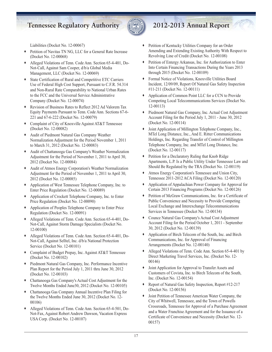

Liabilities (Docket No. 12-00067)

- ∑ Petition of Navitas TN NG, LLC for a General Rate Increase (Docket No. 12-00068)
- ◆ Alleged Violations of Tenn. Code Ann. Section 65-4-401, Do-Not-Call, Against Sam Cooper, d/b/a Global Media Management, LLC (Docket No. 12-00069)
- ∑ State Certification of Rural and Competitive ETC Carriers Use of Federal High Cost Support, Pursuant to C.F.R. 54.314 and Non-Rural Rate Comparability to National Urban Rates to the FCC and the Universal Service Administrative Company (Docket No. 12-00074)
- ∑ Revision of Business Rates to Reflect 2012 Ad Valorem Tax Equity Payments Pursuant to Tenn. Code Ann. Sections 67-6- 221 and 67-6-222 (Docket No. 12-00079)
- ∑ Complaint of City of Knoxville Against AT&T Tennessee (Docket No. 12-00082)
- ∑ Audit of Piedmont Natural Gas Company Weather Normalization Adjustment for the Period November 1, 2011 to March 31, 2012 (Docket No. 12-00083)
- ◆ Audit of Chattanooga Gas Company's Weather Normalization Adjustment for the Period of November 1, 2011 to April 30, 2012 (Docket No. 12-00084)
- ◆ Audit of Atmos Energy Corporation's Weather Normalization Adjustment for the Period of November 1, 2011 to April 30, 2012 (Docket No. 12-00085)
- ∑ Application of West Tennessee Telephone Company, Inc. to Enter Price Regulation (Docket No. 12-00089)
- ∑ Application of Crockett Telephone Company, Inc. to Enter Price Regulation (Docket No. 12-00090)
- ∑ Application of Peoples Telephone Company to Enter Price Regulation (Docket No. 12-00091)
- ∑ Alleged Violations of Tenn. Code Ann. Section 65-4-401, Do-Not-Call, Against Storm Damage Specialists (Docket No. 12-00100)
- ◆ Alleged Violations of Tenn. Code Ann. Section 65-4-401, Do-Not-Call, Against Selltel, Inc. d/b/a National Protection Service (Docket No. 12-00101)
- ∑ Complaint of Budget Prepay, Inc. Against AT&T Tennessee (Docket No. 12-00102)
- ∑ Piedmont Natural Gas Company, Inc. Performance Incentive Plan Report for the Period July 1, 2011 thru June 30, 2012 (Docket No. 12-00103)
- ∑ Chattanooga Gas Company's Actual Cost Adjustment for the Twelve Months Ended June30, 2012 (Docket No. 12-00105)
- ∑ Chattanooga Gas Company Annual Incentive Plan Filing for the Twelve Months Ended June 30, 2012 (Docket No. 12- 00106)
- ∑ Alleged Violations of Tenn. Code Ann. Section 65-4-501, Do-Not-Fax, Against Robert Andrew Dawson, Vacation Express USA Corp. (Docket No. 12-00107)
- ∑ Petition of Kentucky Utilities Company for an Order Amending and Extending Existing Authority With Respect to Revolving Line of Credit (Docket No. 12-00108)
- ∑ Petition of Entergy Arkansas, Inc. for Authorization to Enter Into Certain Financing Transactions During the Years 2013 through 2015 (Docket No. 12-00109)
- ∑ Formal Notice of Violations, Knoxville Utilities Board Incident, 12/09/09, Report Of Natural Gas Safety Inspection #11-211 (Docket No. 12-00111)
- ∑ Application of Common Point LLC for a CCN to Provide Competing Local Telecommunications Services (Docket No. 12-00113)
- ∑ Piedmont Natural Gas Company, Inc. Actual Cost Adjustment Account Filing for the Period July 1, 2011 - June 30, 2012 (Docket No. 12-00114)
- ∑ Joint Application of Millington Telephone Company, Inc., MTel Long Distance, Inc., And E. Ritter Communications Holdings, Inc. Regarding Transfer of Control of Millington Telephone Company, Inc. and MTel Long Distance, Inc. (Docket No. 12-00117)
- ∑ Petition for a Declaratory Ruling that Knob Ridge Apartments, L.P. Is a Public Utility Under Tennessee Law and Should Be Regulated by the TRA (Docket No. 12-00119)
- ∑ Atmos Energy Corporation's Tennessee and Union City, Tennessee 2011-2012 ACA Filing (Docket No. 12-00120)
- ∑ Application of Appalachian Power Company for Approval for Certain 2013 Financing Programs (Docket No. 12-00126)
- ∑ Petition of McGraw Communications, Inc. for a Certificate of Public Convenience and Necessity to Provide Competing Local Exchange and Interexchange Telecommunications Services in Tennessee (Docket No. 12-00134)
- ∑ Counce Natural Gas Company's Actual Cost Adjustment Account Filing for the Period October 1, 2011 - September 30, 2012 (Docket No. 12-00139)
- ∑ Application of Birch Telecom of the South, Inc. and Birch Communications, Inc. for Approval of Financing Arrangements (Docket No. 12-00140)
- ◆ Alleged Violations of Tenn. Code Ann. Section 65-4-401 by Direct Marketing Travel Services, Inc. (Docket No. 12- 00146)
- ∑ Joint Application for Approval to Transfer Assets and Customers of Covista, Inc. to Birch Telecom of the South, Inc. (Docket No. 12-00154)
- ∑ Report of Natural Gas Safety Inspection, Report #12-217 (Docket No. 12-00156)
- ∑ Joint Petition of Tennessee American Water Company, the City of Whitwell, Tennessee, and the Town of Powells Crossroads, Tennessee for Approval of a Purchase Agreement and a Water Franchise Agreement and for the Issuance of a Certificate of Convenience and Necessity (Docket No. 12- 00157)